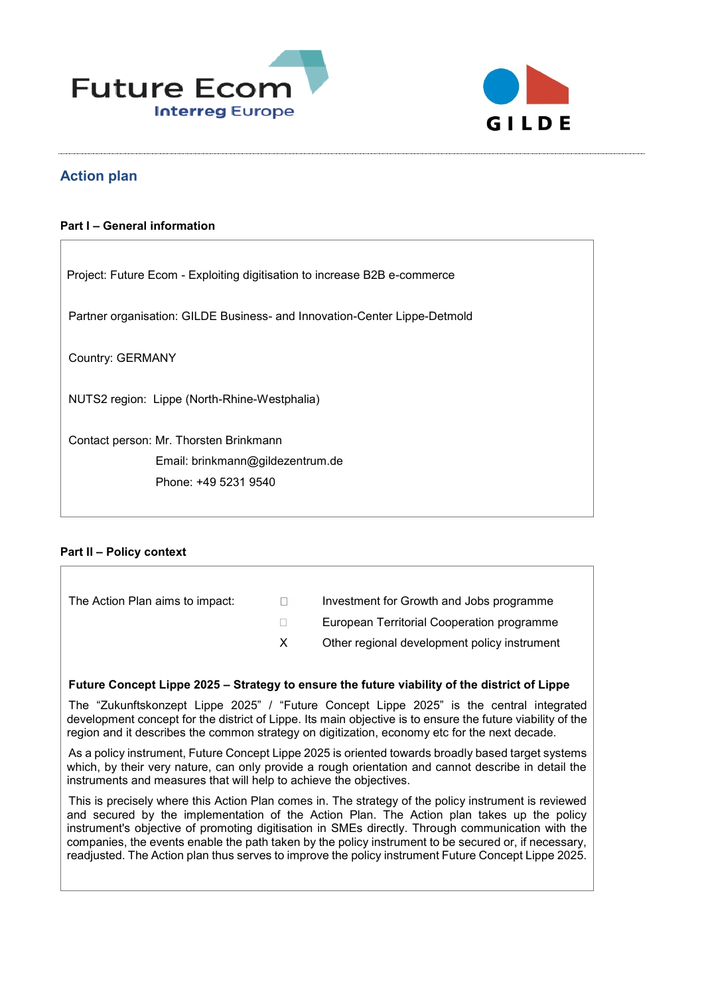



# **Action plan**

#### **Part I – General information**

| Project: Future Ecom - Exploiting digitisation to increase B2B e-commerce |  |  |
|---------------------------------------------------------------------------|--|--|
| Partner organisation: GILDE Business- and Innovation-Center Lippe-Detmold |  |  |
| Country: GERMANY                                                          |  |  |
| NUTS2 region: Lippe (North-Rhine-Westphalia)                              |  |  |
| Contact person: Mr. Thorsten Brinkmann                                    |  |  |
| Email: brinkmann@gildezentrum.de                                          |  |  |
| Phone: +49 5231 9540                                                      |  |  |
|                                                                           |  |  |

### **Part II – Policy context**

| The Action Plan aims to impact: | $\mathbf{1}$ | Investment for Growth and Jobs programme     |
|---------------------------------|--------------|----------------------------------------------|
|                                 |              | European Territorial Cooperation programme   |
|                                 | X.           | Other regional development policy instrument |

#### **Future Concept Lippe 2025 – Strategy to ensure the future viability of the district of Lippe**

The "Zukunftskonzept Lippe 2025" / "Future Concept Lippe 2025" is the central integrated development concept for the district of Lippe. Its main objective is to ensure the future viability of the region and it describes the common strategy on digitization, economy etc for the next decade.

As a policy instrument, Future Concept Lippe 2025 is oriented towards broadly based target systems which, by their very nature, can only provide a rough orientation and cannot describe in detail the instruments and measures that will help to achieve the objectives.

This is precisely where this Action Plan comes in. The strategy of the policy instrument is reviewed and secured by the implementation of the Action Plan. The Action plan takes up the policy instrument's objective of promoting digitisation in SMEs directly. Through communication with the companies, the events enable the path taken by the policy instrument to be secured or, if necessary, readjusted. The Action plan thus serves to improve the policy instrument Future Concept Lippe 2025.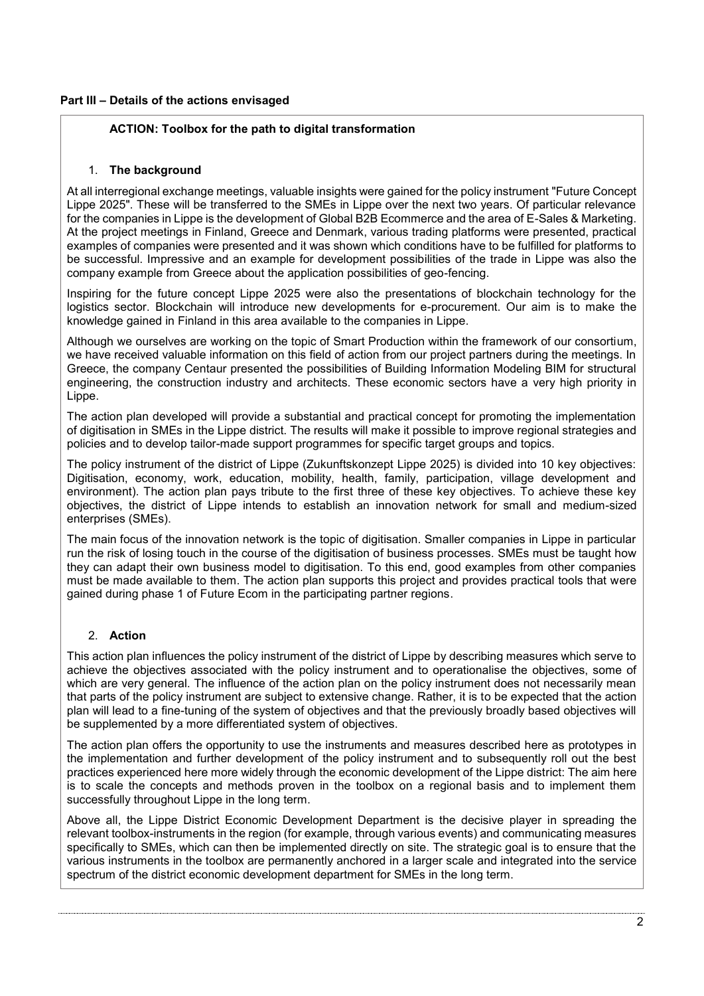### **Part III – Details of the actions envisaged**

## **ACTION: Toolbox for the path to digital transformation**

### 1. **The background**

At all interregional exchange meetings, valuable insights were gained for the policy instrument "Future Concept Lippe 2025". These will be transferred to the SMEs in Lippe over the next two years. Of particular relevance for the companies in Lippe is the development of Global B2B Ecommerce and the area of E-Sales & Marketing. At the project meetings in Finland, Greece and Denmark, various trading platforms were presented, practical examples of companies were presented and it was shown which conditions have to be fulfilled for platforms to be successful. Impressive and an example for development possibilities of the trade in Lippe was also the company example from Greece about the application possibilities of geo-fencing.

Inspiring for the future concept Lippe 2025 were also the presentations of blockchain technology for the logistics sector. Blockchain will introduce new developments for e-procurement. Our aim is to make the knowledge gained in Finland in this area available to the companies in Lippe.

Although we ourselves are working on the topic of Smart Production within the framework of our consortium, we have received valuable information on this field of action from our project partners during the meetings. In Greece, the company Centaur presented the possibilities of Building Information Modeling BIM for structural engineering, the construction industry and architects. These economic sectors have a very high priority in Lippe.

The action plan developed will provide a substantial and practical concept for promoting the implementation of digitisation in SMEs in the Lippe district. The results will make it possible to improve regional strategies and policies and to develop tailor-made support programmes for specific target groups and topics.

The policy instrument of the district of Lippe (Zukunftskonzept Lippe 2025) is divided into 10 key objectives: Digitisation, economy, work, education, mobility, health, family, participation, village development and environment). The action plan pays tribute to the first three of these key objectives. To achieve these key objectives, the district of Lippe intends to establish an innovation network for small and medium-sized enterprises (SMEs).

The main focus of the innovation network is the topic of digitisation. Smaller companies in Lippe in particular run the risk of losing touch in the course of the digitisation of business processes. SMEs must be taught how they can adapt their own business model to digitisation. To this end, good examples from other companies must be made available to them. The action plan supports this project and provides practical tools that were gained during phase 1 of Future Ecom in the participating partner regions.

# 2. **Action**

This action plan influences the policy instrument of the district of Lippe by describing measures which serve to achieve the objectives associated with the policy instrument and to operationalise the objectives, some of which are very general. The influence of the action plan on the policy instrument does not necessarily mean that parts of the policy instrument are subject to extensive change. Rather, it is to be expected that the action plan will lead to a fine-tuning of the system of objectives and that the previously broadly based objectives will be supplemented by a more differentiated system of objectives.

The action plan offers the opportunity to use the instruments and measures described here as prototypes in the implementation and further development of the policy instrument and to subsequently roll out the best practices experienced here more widely through the economic development of the Lippe district: The aim here is to scale the concepts and methods proven in the toolbox on a regional basis and to implement them successfully throughout Lippe in the long term.

Above all, the Lippe District Economic Development Department is the decisive player in spreading the relevant toolbox-instruments in the region (for example, through various events) and communicating measures specifically to SMEs, which can then be implemented directly on site. The strategic goal is to ensure that the various instruments in the toolbox are permanently anchored in a larger scale and integrated into the service spectrum of the district economic development department for SMEs in the long term.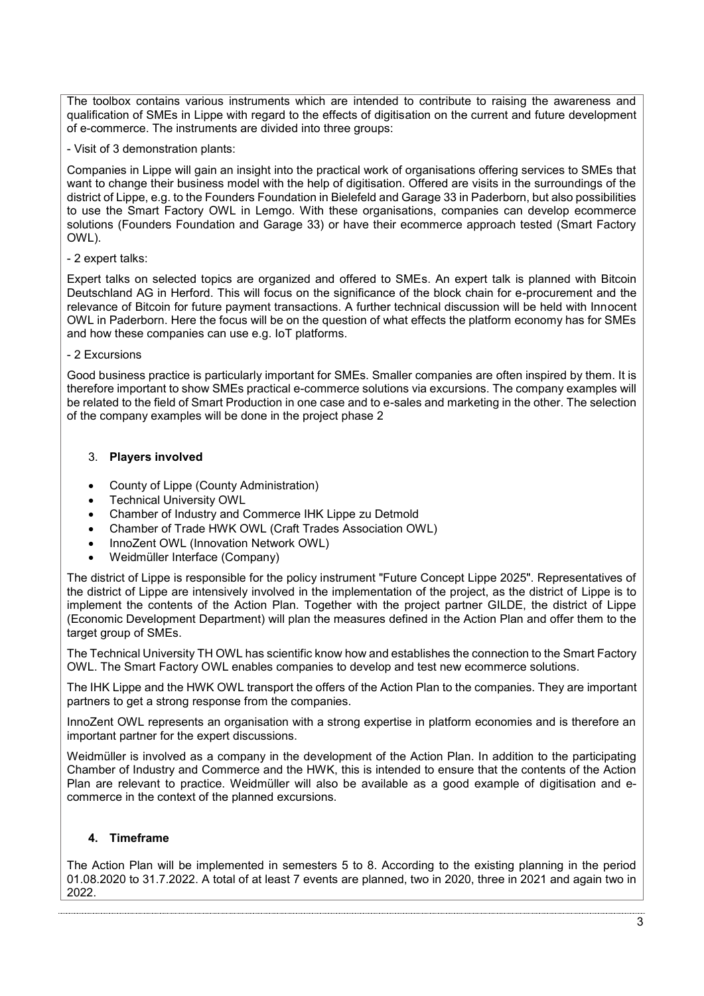The toolbox contains various instruments which are intended to contribute to raising the awareness and qualification of SMEs in Lippe with regard to the effects of digitisation on the current and future development of e-commerce. The instruments are divided into three groups:

- Visit of 3 demonstration plants:

Companies in Lippe will gain an insight into the practical work of organisations offering services to SMEs that want to change their business model with the help of digitisation. Offered are visits in the surroundings of the district of Lippe, e.g. to the Founders Foundation in Bielefeld and Garage 33 in Paderborn, but also possibilities to use the Smart Factory OWL in Lemgo. With these organisations, companies can develop ecommerce solutions (Founders Foundation and Garage 33) or have their ecommerce approach tested (Smart Factory OWL).

### - 2 expert talks:

Expert talks on selected topics are organized and offered to SMEs. An expert talk is planned with Bitcoin Deutschland AG in Herford. This will focus on the significance of the block chain for e-procurement and the relevance of Bitcoin for future payment transactions. A further technical discussion will be held with Innocent OWL in Paderborn. Here the focus will be on the question of what effects the platform economy has for SMEs and how these companies can use e.g. IoT platforms.

#### - 2 Excursions

Good business practice is particularly important for SMEs. Smaller companies are often inspired by them. It is therefore important to show SMEs practical e-commerce solutions via excursions. The company examples will be related to the field of Smart Production in one case and to e-sales and marketing in the other. The selection of the company examples will be done in the project phase 2

### 3. **Players involved**

- County of Lippe (County Administration)
- Technical University OWL
- Chamber of Industry and Commerce IHK Lippe zu Detmold
- Chamber of Trade HWK OWL (Craft Trades Association OWL)
- InnoZent OWL (Innovation Network OWL)
- Weidmüller Interface (Company)

The district of Lippe is responsible for the policy instrument "Future Concept Lippe 2025". Representatives of the district of Lippe are intensively involved in the implementation of the project, as the district of Lippe is to implement the contents of the Action Plan. Together with the project partner GILDE, the district of Lippe (Economic Development Department) will plan the measures defined in the Action Plan and offer them to the target group of SMEs.

The Technical University TH OWL has scientific know how and establishes the connection to the Smart Factory OWL. The Smart Factory OWL enables companies to develop and test new ecommerce solutions.

The IHK Lippe and the HWK OWL transport the offers of the Action Plan to the companies. They are important partners to get a strong response from the companies.

InnoZent OWL represents an organisation with a strong expertise in platform economies and is therefore an important partner for the expert discussions.

Weidmüller is involved as a company in the development of the Action Plan. In addition to the participating Chamber of Industry and Commerce and the HWK, this is intended to ensure that the contents of the Action Plan are relevant to practice. Weidmüller will also be available as a good example of digitisation and ecommerce in the context of the planned excursions.

### **4. Timeframe**

The Action Plan will be implemented in semesters 5 to 8. According to the existing planning in the period 01.08.2020 to 31.7.2022. A total of at least 7 events are planned, two in 2020, three in 2021 and again two in 2022.